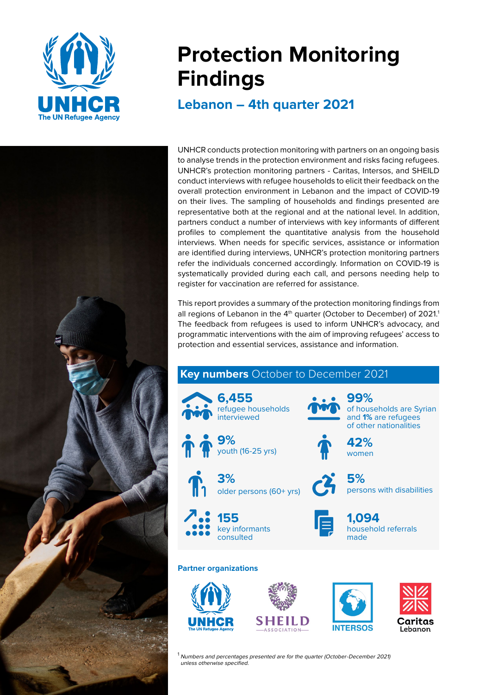

# **Protection Monitoring Findings**

**Lebanon – 4th quarter 2021** 



UNHCR conducts protection monitoring with partners on an ongoing basis to analyse trends in the protection environment and risks facing refugees. UNHCR's protection monitoring partners - Caritas, Intersos, and SHEILD conduct interviews with refugee households to elicit their feedback on the overall protection environment in Lebanon and the impact of COVID-19 on their lives. The sampling of households and findings presented are representative both at the regional and at the national level. In addition, partners conduct a number of interviews with key informants of different profiles to complement the quantitative analysis from the household interviews. When needs for specific services, assistance or information are identified during interviews, UNHCR's protection monitoring partners refer the individuals concerned accordingly. Information on COVID-19 is systematically provided during each call, and persons needing help to register for vaccination are referred for assistance.

This report provides a summary of the protection monitoring findings from all regions of Lebanon in the 4<sup>th</sup> quarter (October to December) of 2021.<sup>1</sup> The feedback from refugees is used to inform UNHCR's advocacy, and programmatic interventions with the aim of improving refugees' access to protection and essential services, assistance and information.



Lehanon

 $1$  Numbers and percentages presented are for the quarter (October-December 2021) unless otherwise specified.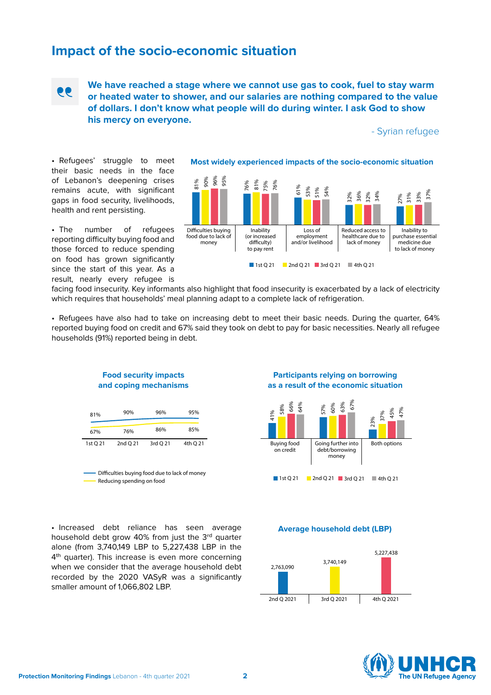### **Impact of the socio-economic situation**



**We have reached a stage where we cannot use gas to cook, fuel to stay warm or heated water to shower, and our salaries are nothing compared to the value of dollars. I don't know what people will do during winter. I ask God to show his mercy on everyone.**

- Syrian refugee

•  Refugees' struggle to meet their basic needs in the face of Lebanon's deepening crises remains acute, with significant gaps in food security, livelihoods, health and rent persisting.

• The number of refugees reporting difficulty buying food and those forced to reduce spending on food has grown significantly since the start of this year. As a result, nearly every refugee is

**Most widely experienced impacts of the socio-economic situation**



facing food insecurity. Key informants also highlight that food insecurity is exacerbated by a lack of electricity which requires that households' meal planning adapt to a complete lack of refrigeration.

•  Refugees have also had to take on increasing debt to meet their basic needs. During the quarter, 64% reported buying food on credit and 67% said they took on debt to pay for basic necessities. Nearly all refugee households (91%) reported being in debt.



**Food security impacts** 

| Difficulties buying food due to lack of money |
|-----------------------------------------------|
| Reducing spending on food                     |

#### **Participants relying on borrowing as a result of the economic situation**



•  Increased debt reliance has seen average household debt grow 40% from just the 3rd quarter alone (from 3,740,149 LBP to 5,227,438 LBP in the 4<sup>th</sup> quarter). This increase is even more concerning when we consider that the average household debt recorded by the 2020 VASyR was a significantly smaller amount of 1,066,802 LBP.





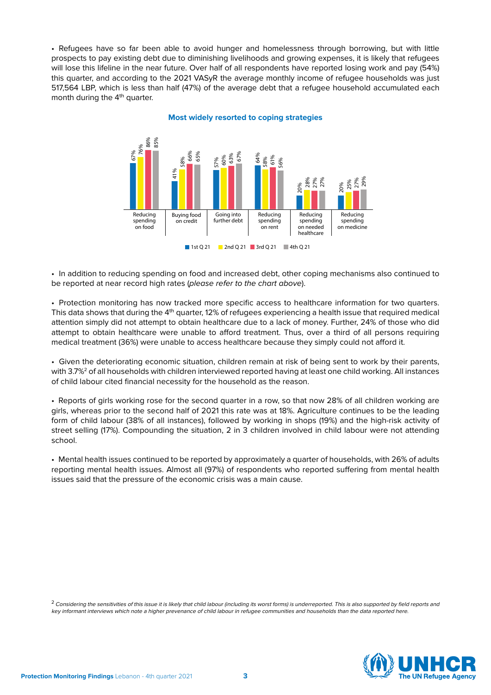•  Refugees have so far been able to avoid hunger and homelessness through borrowing, but with little prospects to pay existing debt due to diminishing livelihoods and growing expenses, it is likely that refugees will lose this lifeline in the near future. Over half of all respondents have reported losing work and pay (54%) this quarter, and according to the 2021 VASyR the average monthly income of refugee households was just 517,564 LBP, which is less than half (47%) of the average debt that a refugee household accumulated each month during the 4<sup>th</sup> quarter.



**Most widely resorted to coping strategies**

•  In addition to reducing spending on food and increased debt, other coping mechanisms also continued to be reported at near record high rates (please refer to the chart above).

•  Protection monitoring has now tracked more specific access to healthcare information for two quarters. This data shows that during the 4<sup>th</sup> quarter, 12% of refugees experiencing a health issue that required medical attention simply did not attempt to obtain healthcare due to a lack of money. Further, 24% of those who did attempt to obtain healthcare were unable to afford treatment. Thus, over a third of all persons requiring medical treatment (36%) were unable to access healthcare because they simply could not afford it.

•  Given the deteriorating economic situation, children remain at risk of being sent to work by their parents, with 3.7%<sup>2</sup> of all households with children interviewed reported having at least one child working. All instances of child labour cited financial necessity for the household as the reason.

• Reports of girls working rose for the second quarter in a row, so that now 28% of all children working are girls, whereas prior to the second half of 2021 this rate was at 18%. Agriculture continues to be the leading form of child labour (38% of all instances), followed by working in shops (19%) and the high-risk activity of street selling (17%). Compounding the situation, 2 in 3 children involved in child labour were not attending school.

• Mental health issues continued to be reported by approximately a quarter of households, with 26% of adults reporting mental health issues. Almost all (97%) of respondents who reported suffering from mental health issues said that the pressure of the economic crisis was a main cause.

 $^2$  Considering the sensitivities of this issue it is likely that child labour (including its worst forms) is underreported. This is also supported by field reports and key informant interviews which note a higher prevenance of child labour in refugee communities and households than the data reported here.

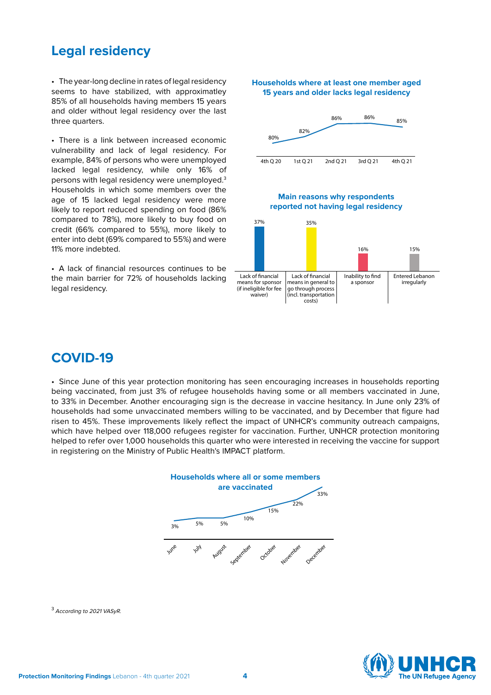### **Legal residency**

•  The year-long decline in rates of legal residency seems to have stabilized, with approximatley 85% of all households having members 15 years and older without legal residency over the last three quarters.

•  There is a link between increased economic vulnerability and lack of legal residency. For example, 84% of persons who were unemployed lacked legal residency, while only 16% of persons with legal residency were unemployed.3 Households in which some members over the age of 15 lacked legal residency were more likely to report reduced spending on food (86% compared to 78%), more likely to buy food on credit (66% compared to 55%), more likely to enter into debt (69% compared to 55%) and were 11% more indebted.

•  A lack of financial resources continues to be the main barrier for 72% of households lacking legal residency.



**Households where at least one member aged** 

## **COVID-19**

•  Since June of this year protection monitoring has seen encouraging increases in households reporting being vaccinated, from just 3% of refugee households having some or all members vaccinated in June, to 33% in December. Another encouraging sign is the decrease in vaccine hesitancy. In June only 23% of households had some unvaccinated members willing to be vaccinated, and by December that figure had risen to 45%. These improvements likely reflect the impact of UNHCR's community outreach campaigns, which have helped over 118,000 refugees register for vaccination. Further, UNHCR protection monitoring helped to refer over 1,000 households this quarter who were interested in receiving the vaccine for support in registering on the Ministry of Public Health's IMPACT platform.



<sup>3</sup> According to 2021 VASyR.

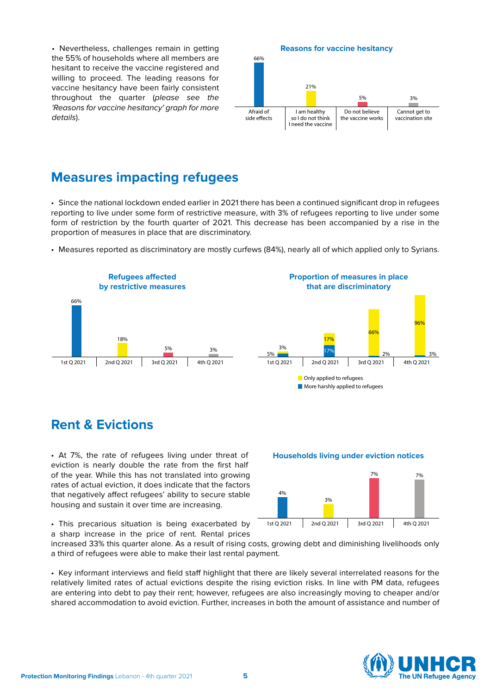•  Nevertheless, challenges remain in getting the 55% of households where all members are hesitant to receive the vaccine registered and willing to proceed. The leading reasons for vaccine hesitancy have been fairly consistent throughout the quarter (please see the 'Reasons for vaccine hesitancy' graph for more details).

#### **Reasons for vaccine hesitancy**



### **Measures impacting refugees**

•  Since the national lockdown ended earlier in 2021 there has been a continued significant drop in refugees reporting to live under some form of restrictive measure, with 3% of refugees reporting to live under some form of restriction by the fourth quarter of 2021. This decrease has been accompanied by a rise in the proportion of measures in place that are discriminatory.

•  Measures reported as discriminatory are mostly curfews (84%), nearly all of which applied only to Syrians.



### **Rent & Evictions**

•  At 7%, the rate of refugees living under threat of eviction is nearly double the rate from the first half of the year. While this has not translated into growing rates of actual eviction, it does indicate that the factors that negatively affect refugees' ability to secure stable housing and sustain it over time are increasing.

•  This precarious situation is being exacerbated by a sharp increase in the price of rent. Rental prices

increased 33% this quarter alone. As a result of rising costs, growing debt and diminishing livelihoods only a third of refugees were able to make their last rental payment.

•  Key informant interviews and field staff highlight that there are likely several interrelated reasons for the relatively limited rates of actual evictions despite the rising eviction risks. In line with PM data, refugees are entering into debt to pay their rent; however, refugees are also increasingly moving to cheaper and/or shared accommodation to avoid eviction. Further, increases in both the amount of assistance and number of